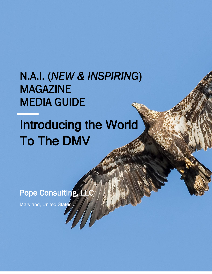# N.A.I. (*NEW & INSPIRING*) MAGAZINE MEDIA GUIDE

# Introducing the World To The DMV

 $\frac{1}{\sqrt{2}}$ 

Pope Consulting, LLC

Maryland, United States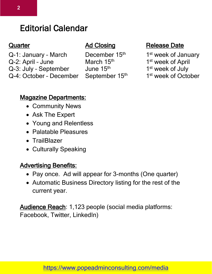# Editorial Calendar

- Q-1: January March December 15<sup>th</sup>
- Q-2: April June March 15<sup>th</sup>
- Q-3: July September June 15<sup>th</sup>
- Q-4: October December September 15th

# **Quarter Construction Ad Closing Construction Release Date**

- 1<sup>st</sup> week of January
- 1<sup>st</sup> week of April
- 1<sup>st</sup> week of July
- 1<sup>st</sup> week of October

# Magazine Departments:

- Community News
- Ask The Expert
- Young and Relentless
- Palatable Pleasures
- TrailBlazer
- Culturally Speaking

# Advertising Benefits:

- Pay once. Ad will appear for 3-months (One quarter)
- Automatic Business Directory listing for the rest of the current year.

Audience Reach: 1,123 people (social media platforms: Facebook, Twitter, LinkedIn)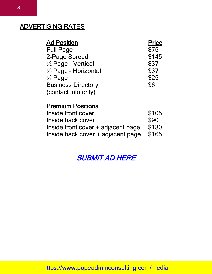# ADVERTISING RATES

| <b>Ad Position</b>        | <b>Price</b> |
|---------------------------|--------------|
| <b>Full Page</b>          | \$75         |
| 2-Page Spread             | \$145        |
| 1/2 Page - Vertical       | \$37         |
| 1/2 Page - Horizontal     | \$37         |
| 1⁄4 Page                  | \$25         |
| <b>Business Directory</b> | \$6          |
| (contact info only)       |              |
|                           |              |

# Premium Positions

| Inside front cover                 | \$105 |
|------------------------------------|-------|
| Inside back cover                  | \$90  |
| Inside front cover + adjacent page | \$180 |
| Inside back cover + adjacent page  | \$165 |

[SUBMIT AD HERE](https://form.jotform.com/90687201186156)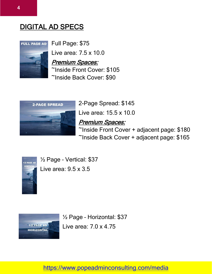# DIGITAL AD SPECS



Full Page: \$75

Live area: 7.5 x 10.0

#### Premium Spaces:

~Inside Front Cover: \$105 ~Inside Back Cover: \$90



2-Page Spread: \$145 Live area: 15.5 x 10.0 Premium Spaces: ~Inside Front Cover + adjacent page: \$180 ~Inside Back Cover + adjacent page: \$165



½ Page – Vertical: \$37 Live area: 9.5 x 3.5



½ Page – Horizontal: \$37 Live area: 7.0 x 4.75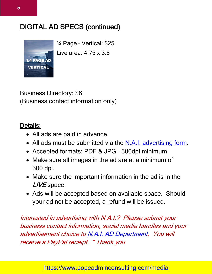# DIGITAL AD SPECS (continued)



¼ Page – Vertical: \$25 Live area: 4.75 x 3.5

Business Directory: \$6 (Business contact information only)

# Details:

- All ads are paid in advance.
- All ads must be submitted via the [N.A.I. advertising form.](https://form.jotform.com/90687201186156)
- Accepted formats: PDF & JPG 300dpi minimum
- Make sure all images in the ad are at a minimum of 300 dpi.
- Make sure the important information in the ad is in the LIVE space.
- Ads will be accepted based on available space. Should your ad not be accepted, a refund will be issued.

Interested in advertising with N.A.I.? Please submit your business contact information, social media handles and your advertisement choice t[o N.A.I. AD Department.](https://form.jotform.com/90687201186156) You will receive a PayPal receipt. ~ Thank you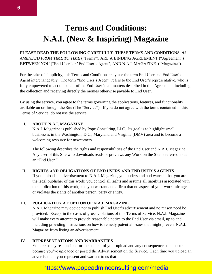# **Terms and Conditions: N.A.I. (New & Inspiring) Magazine**

**PLEASE READ THE FOLLOWING CAREFULLY**. THESE TERMS AND CONDITIONS, *AS AMENDED FROM TIME TO TIME* ("Terms"), ARE A BINDING AGREEMENT ("Agreement") BETWEEN YOU ("End User" or "End User's Agent", AND N.A.I. MAGAZINE. ("Magazine").

For the sake of simplicity, this Terms and Conditions may use the term End User and End User's Agent interchangeably. The term "End User's Agent" refers to the End User's representative, who is fully empowered to act on behalf of the End User in all matters described in this Agreement, including the collection and receiving directly the monies otherwise payable to End User.

By using the service, you agree to the terms governing the applications, features, and functionality available on or through the Site (The "Service"). If you do not agree with the terms contained in this Terms of Service, do not use the service.

#### I. **ABOUT N.A.I. MAGAZINE**

N.A.I. Magazine is published by Pope Consulting, LLC. Its goal is to highlight small businesses in the Washington, D.C., Maryland and Virginia (DMV) area and to become a welcoming resource for newcomers.

The following describes the rights and responsibilities of the End User and N.A.I. Magazine. Any user of this Site who downloads reads or previews any Work on the Site is referred to as an "End User."

#### II. **RIGHTS AND OBLIGATIONS OF END USERS AND END USER'S AGENTS**

If you upload an advertisement to N.A.I. Magazine, you understand and warrant that you are the legal publisher of this work; you control all rights and assume all liabilities associated with the publication of this work; and you warrant and affirm that no aspect of your work infringes or violates the rights of another person, party or entity.

#### III. **PUBLICATION AT OPTION OF N.A.I. MAGAZINE**

N.A.I. Magazine may decide not to publish End User's advertisement and no reason need be provided. Except in the cases of gross violations of this Terms of Service, N.A.I. Magazine will make every attempt to provide reasonable notice to the End User via email, up to and including providing instructions on how to remedy potential issues that might prevent N.A.I. Magazine from listing an advertisement.

#### IV. **REPRESENTATIONS AND WARRANTIES**

You are solely responsible for the content of your upload and any consequences that occur because you've uploaded or posted the Advertisement on the Service. Each time you upload an advertisement you represent and warrant to us that: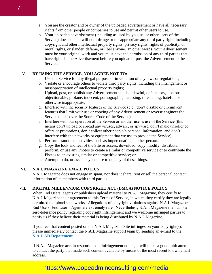- a. You are the creator and or owner of the uploaded advertisement or have all necessary rights from other people or companies to use and permit other users to use.
- b. Your uploaded advertisement (including as used by you, us, or other users of the Service) does not and will not infringe or misappropriate any third party right, including copyright and other intellectual property rights, privacy rights, rights of publicity, or moral rights, or slander, defame, or libel anyone. In other words, your Advertisement must be your original work and you must have the permission of any third parties that have rights in the Advertisement before you upload or post the Advertisement to the Service.

#### V. **BY USING THE SERVICE, YOU AGREE NOT TO:**

- a. Use the Service for any illegal purpose or in violation of any laws or regulations;
- b. Violate or encourage others to violate third party rights, including the infringement or misappropriation of intellectual property rights;
- c. Upload, post, or publish any Advertisement that is unlawful, defamatory, libelous, objectionable, profane, indecent, pornographic, harassing, threatening, hateful, or otherwise inappropriate;
- d. Interfere with the security features of the Service (e.g., don't disable or circumvent features that limit your use or copying of any Advertisement or reverse engineer the Service to discover the Source Code of the Service);
- e. Interfere with our operation of the Service or another user's use of the Service (this means don't upload or spread any viruses, adware, or spyware, don't make unsolicited offers or promotions, don't collect other people's personal information, and don't interfere with the networks or equipment that we use to provide the Service);
- f. Perform fraudulent activities, such as impersonating another person.
- g. Copy the look and feel of the Site or access, download, copy, modify, distribute, perform, or use any Photos to create a similar or competitive service or to contribute the Photos to an existing similar or competitive service; or
- h. Attempt to do, or assist anyone else to do, any of these things.

#### VI. **N.A.I. MAGAZINE EMAIL POLICY**

N.A.I. Magazine does not engage in spam, nor does it share, rent or sell the personal contact information of its members with third parties.

#### VII. **DIGITAL MILLENNIUM COPYRIGHT ACT (DMCA) NOTICE POLICY**

When End Users, agents or publishers upload material to N.A.I. Magazine, they certify to N.A.I. Magazine their agreement to this Terms of Service, in which they certify they are legally permitted to upload such works. Allegations of copyright violations against N.A.I. Magazine End Users, End User's Agent are extremely rare. Nevertheless, N.A.I. Magazine maintains a zero-tolerance policy regarding copyright infringement and we welcome infringed parties to notify us if they believe their material is being distributed by N.A.I. Magazine.

If you feel that content posted on the N.A.I. Magazine Site infringes on your copyright(s), please immediately contact the N.A.I. Magazine support team by sending an e-mail to the **[N.A.I. AD Department](mailto:nai.ad.department@gmail.com)**.

If N.A.I. Magazine acts in response to an infringement notice, it will make a good faith attempt to contact the party that made such content available by means of the most recent known email address.